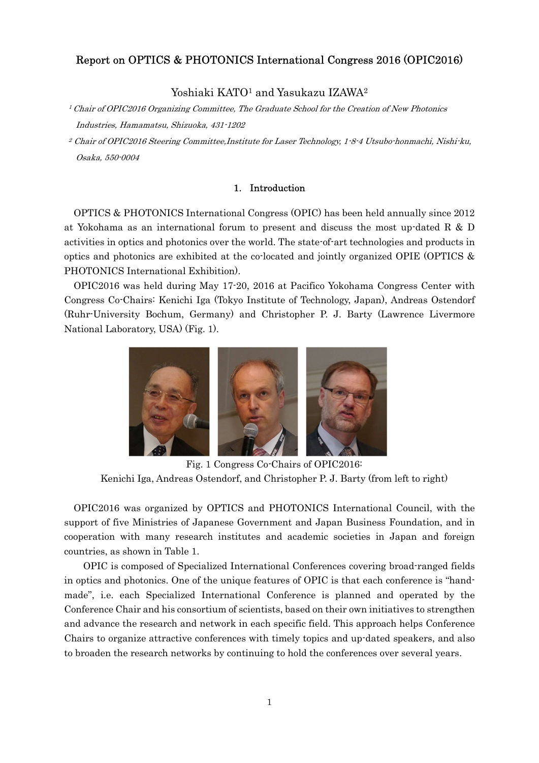## Report on OPTICS & PHOTONICS International Congress 2016 (OPIC2016)

Yoshiaki KATO<sup>1</sup> and Yasukazu IZAWA<sup>2</sup>

<sup>1</sup> Chair of OPIC2016 Organizing Committee, The Graduate School for the Creation of New Photonics Industries, Hamamatsu, Shizuoka, 431-1202

2 Chair of OPIC2016 Steering Committee,Institute for Laser Technology, 1-8-4 Utsubo-honmachi, Nishi-ku, Osaka, 550-0004

### 1. Introduction

OPTICS & PHOTONICS International Congress (OPIC) has been held annually since 2012 at Yokohama as an international forum to present and discuss the most up-dated R & D activities in optics and photonics over the world. The state-of-art technologies and products in optics and photonics are exhibited at the co-located and jointly organized OPIE (OPTICS & PHOTONICS International Exhibition).

OPIC2016 was held during May 17-20, 2016 at Pacifico Yokohama Congress Center with Congress Co-Chairs: Kenichi Iga (Tokyo Institute of Technology, Japan), Andreas Ostendorf (Ruhr-University Bochum, Germany) and Christopher P. J. Barty (Lawrence Livermore National Laboratory, USA) (Fig. 1).



Fig. 1 Congress Co-Chairs of OPIC2016: Kenichi Iga, Andreas Ostendorf, and Christopher P. J. Barty (from left to right)

OPIC2016 was organized by OPTICS and PHOTONICS International Council, with the support of five Ministries of Japanese Government and Japan Business Foundation, and in cooperation with many research institutes and academic societies in Japan and foreign countries, as shown in Table 1.

 OPIC is composed of Specialized International Conferences covering broad-ranged fields in optics and photonics. One of the unique features of OPIC is that each conference is "handmade", i.e. each Specialized International Conference is planned and operated by the Conference Chair and his consortium of scientists, based on their own initiatives to strengthen and advance the research and network in each specific field. This approach helps Conference Chairs to organize attractive conferences with timely topics and up-dated speakers, and also to broaden the research networks by continuing to hold the conferences over several years.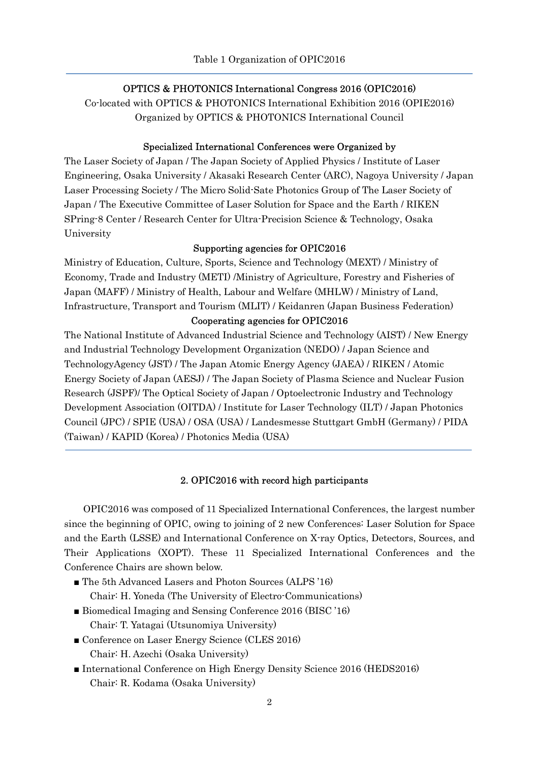# ł OPTICS & PHOTONICS International Congress 2016 (OPIC2016)

Co-located with OPTICS & PHOTONICS International Exhibition 2016 (OPIE2016) Organized by OPTICS & PHOTONICS International Council

#### Specialized International Conferences were Organized by

The Laser Society of Japan / The Japan Society of Applied Physics / Institute of Laser Engineering, Osaka University / Akasaki Research Center (ARC), Nagoya University / Japan Laser Processing Society / The Micro Solid-Sate Photonics Group of The Laser Society of Japan / The Executive Committee of Laser Solution for Space and the Earth / RIKEN SPring-8 Center / Research Center for Ultra-Precision Science & Technology, Osaka University

#### Supporting agencies for OPIC2016

Ministry of Education, Culture, Sports, Science and Technology (MEXT) / Ministry of Economy, Trade and Industry (METI) /Ministry of Agriculture, Forestry and Fisheries of Japan (MAFF) / Ministry of Health, Labour and Welfare (MHLW) / Ministry of Land, Infrastructure, Transport and Tourism (MLIT) / Keidanren (Japan Business Federation)

# Cooperating agencies for OPIC2016

The National Institute of Advanced Industrial Science and Technology (AIST) / New Energy and Industrial Technology Development Organization (NEDO) / Japan Science and TechnologyAgency (JST) / The Japan Atomic Energy Agency (JAEA) / RIKEN / Atomic Energy Society of Japan (AESJ) / The Japan Society of Plasma Science and Nuclear Fusion Research (JSPF)/ The Optical Society of Japan / Optoelectronic Industry and Technology Development Association (OITDA) / Institute for Laser Technology (ILT) / Japan Photonics Council (JPC) / SPIE (USA) / OSA (USA) / Landesmesse Stuttgart GmbH (Germany) / PIDA (Taiwan) / KAPID (Korea) / Photonics Media (USA)

#### 2. OPIC2016 with record high participants

 OPIC2016 was composed of 11 Specialized International Conferences, the largest number since the beginning of OPIC, owing to joining of 2 new Conferences: Laser Solution for Space and the Earth (LSSE) and International Conference on X-ray Optics, Detectors, Sources, and Their Applications (XOPT). These 11 Specialized International Conferences and the Conference Chairs are shown below.

- The 5th Advanced Lasers and Photon Sources (ALPS '16) Chair: H. Yoneda (The University of Electro-Communications)
- Biomedical Imaging and Sensing Conference 2016 (BISC '16) Chair: T. Yatagai (Utsunomiya University)
- Conference on Laser Energy Science (CLES 2016) Chair: H. Azechi (Osaka University)
- International Conference on High Energy Density Science 2016 (HEDS2016) Chair: R. Kodama (Osaka University)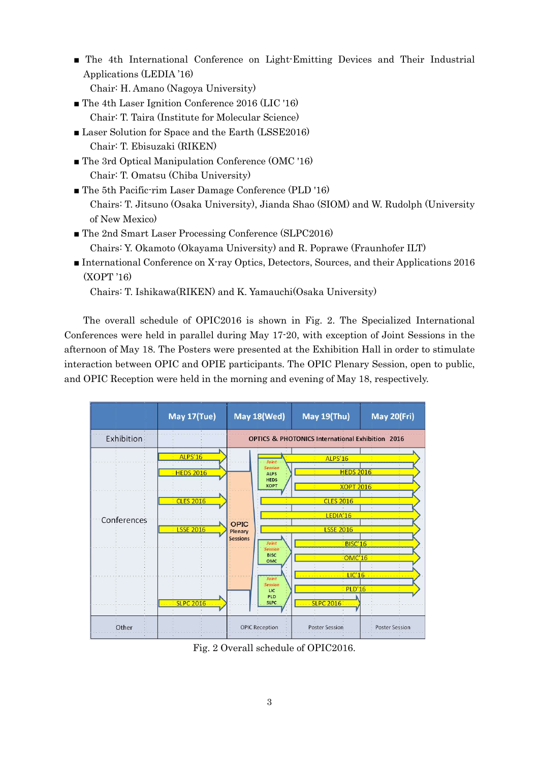- The 4th International Conference on Light-Emitting Devices and Their Industrial Applications (LEDIA '16)
	- Chair: H. Amano (Nagoya University)
- The 4th Laser Ignition Conference 2016 (LIC '16) Chair: T. Taira (Institute for Molecular Science)
- Laser Solution for Space and the Earth (LSSE2016) Chair: T. Ebisuzaki (RIKEN)
- The 3rd Optical Manipulation Conference (OMC '16) Chair: T. Omatsu (Chiba University)
- The 5th Pacific-rim Laser Damage Conference (PLD '16) Chairs: T. Jitsuno (Osaka University), Jianda Shao (SIOM) and W. Rudolph (University of New Mexico)
- The 2nd Smart Laser Processing Conference (SLPC2016) Chairs: Y. Okamoto (Okayama University) and R. Poprawe (Fraunhofer ILT)
- International Conference on X-ray Optics, Detectors, Sources, and their Applications 2016 (XOPT '16)

Chairs: T. Ishikawa(RIKEN) and K. Yamauchi(Osaka University)

 The overall schedule of OPIC2016 is shown in Fig. 2. The Specialized International Conferences were held in parallel during May 17-20, with exception of Joint Sessions in the afternoon of May 18. The Posters were presented at the Exhibition Hall in order to stimulate interaction between OPIC and OPIE participants. The OPIC Plenary Session, open to public, and OPIC Reception were held in the morning and evening of May 18, respectively.



Fig. 2 Overall schedule of OPIC2016.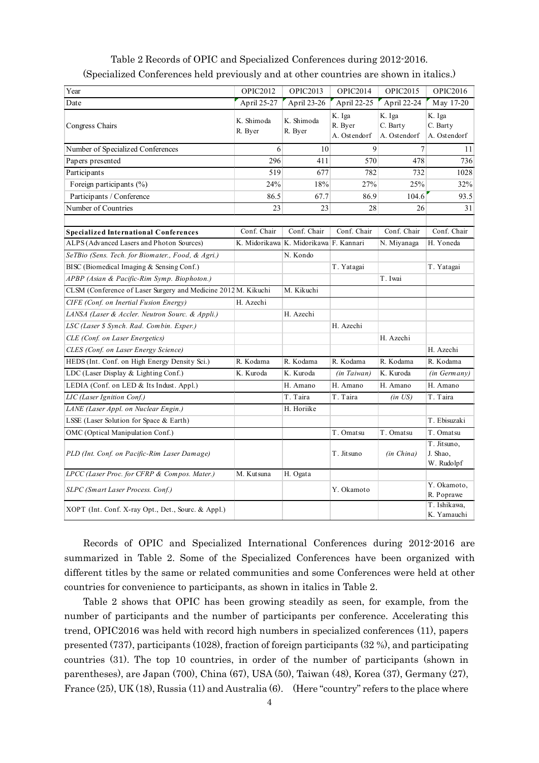| Table 2 Records of OPIC and Specialized Conferences during 2012-2016.<br>(Specialized Conferences held previously and at other countries are shown in italics.) |                       |                                        |                |                    |                 |
|-----------------------------------------------------------------------------------------------------------------------------------------------------------------|-----------------------|----------------------------------------|----------------|--------------------|-----------------|
|                                                                                                                                                                 |                       |                                        |                |                    |                 |
|                                                                                                                                                                 |                       |                                        |                |                    |                 |
|                                                                                                                                                                 |                       |                                        |                |                    |                 |
|                                                                                                                                                                 |                       |                                        |                |                    |                 |
|                                                                                                                                                                 |                       |                                        |                |                    |                 |
|                                                                                                                                                                 |                       |                                        |                |                    |                 |
|                                                                                                                                                                 |                       |                                        |                |                    |                 |
|                                                                                                                                                                 |                       |                                        |                |                    |                 |
|                                                                                                                                                                 |                       |                                        |                |                    |                 |
|                                                                                                                                                                 |                       |                                        |                |                    |                 |
|                                                                                                                                                                 |                       |                                        |                |                    |                 |
|                                                                                                                                                                 |                       |                                        |                |                    |                 |
| Year                                                                                                                                                            | OPIC2012              | <b>OPIC2013</b>                        | OPIC2014       | OPIC2015           | <b>OPIC2016</b> |
| Date                                                                                                                                                            | April 25-27           | April 23-26                            | April 22-25    | April 22-24        | May 17-20       |
|                                                                                                                                                                 |                       |                                        | K. Iga         | K. Iga             | K. Iga          |
| Congress Chairs                                                                                                                                                 | K. Shimoda<br>R. Byer | K. Shimoda<br>R. Byer                  | R. Byer        | C. Barty           | C. Barty        |
|                                                                                                                                                                 |                       |                                        | A. Ostendorf   | A. Ostendorf       | A. Ostendorf    |
| Number of Specialized Conferences                                                                                                                               | 6                     | 10                                     | $\overline{9}$ | 7 <sup>1</sup>     | 11              |
| Papers presented                                                                                                                                                | 296                   | 411                                    | 570            | 478                | 736             |
| Participants                                                                                                                                                    | 519                   | 677                                    | 782            | 732                | 1028            |
| Foreign participants (%)                                                                                                                                        | 24%                   | 18%                                    | 27%            | 25%                | 32%             |
| Participants / Conference                                                                                                                                       | 86.5                  | 67.7                                   | 86.9           | 104.6              | 93.5            |
| Number of Countries                                                                                                                                             | 23                    | 23                                     | 28             | 26                 | 31              |
|                                                                                                                                                                 |                       |                                        |                |                    |                 |
| <b>Specialized International Conferences</b>                                                                                                                    | Conf. Chair           | Conf. Chair                            | Conf. Chair    | Conf. Chair        | Conf. Chair     |
| ALPS (Advanced Lasers and Photon Sources)                                                                                                                       |                       | K. Midorikawa K. Midorikawa F. Kannari |                | N. Miyanaga        | H. Yoneda       |
| SeTBio (Sens. Tech. for Biomater., Food, & Agri.)                                                                                                               |                       | N. Kondo                               |                |                    |                 |
| BISC (Biomedical Imaging & Sensing Conf.)                                                                                                                       |                       |                                        | T. Yatagai     |                    | T. Yatagai      |
| APBP (Asian & Pacific-Rim Symp. Biophoton.)                                                                                                                     |                       |                                        |                | T. Iwai            |                 |
| CLSM (Conference of Laser Surgery and Medicine 2012 M. Kikuchi                                                                                                  |                       | M. Kikuchi                             |                |                    |                 |
| CIFE (Conf. on Inertial Fusion Energy)                                                                                                                          | H. Azechi             |                                        |                |                    |                 |
| LANSA (Laser & Accler. Neutron Sourc. & Appli.)                                                                                                                 |                       | H. Azechi                              |                |                    |                 |
| LSC (Laser \$ Synch. Rad. Combin. Exper.)                                                                                                                       |                       |                                        | H. Azechi      |                    |                 |
| CLE (Conf. on Laser Energetics)                                                                                                                                 |                       |                                        |                | H. Azechi          |                 |
| CLES (Conf. on Laser Energy Science)                                                                                                                            |                       |                                        |                |                    | H. Azechi       |
| HEDS (Int. Conf. on High Energy Density Sci.)                                                                                                                   | R. Kodama             | R. Kodama                              | R. Kodama      | R. Kodama          | R. Kodama       |
| LDC (Laser Display & Lighting Conf.)                                                                                                                            | K. Kuroda             | K. Kuroda                              | (in Taiwan)    | K. Kuroda          | (in Germany)    |
| LEDIA (Conf. on LED & Its Indust. Appl.)                                                                                                                        |                       | H. Amano                               | H. Amano       | H. Amano           | H. Amano        |
| <b>LIC</b> (Laser Ignition Conf.)                                                                                                                               |                       | T. Taira                               | T. Taira       | $(in \text{ } US)$ | T. Taira        |
| LANE (Laser Appl. on Nuclear Engin.)                                                                                                                            |                       | H. Horiike                             |                |                    |                 |
| LSSE (Laser Solution for Space & Earth)                                                                                                                         |                       |                                        |                |                    | T. Ebisuzaki    |
| OMC (Optical Manipulation Conf.)                                                                                                                                |                       |                                        | T. Omatsu      | T. Omatsu          | T. Omatsu       |
|                                                                                                                                                                 |                       |                                        |                |                    | T. Jitsuno,     |
| PLD (Int. Conf. on Pacific-Rim Laser Damage)                                                                                                                    |                       |                                        | T. Jitsuno     | (in China)         | J. Shao,        |
|                                                                                                                                                                 |                       |                                        |                |                    | W. Rudolpf      |
| LPCC (Laser Proc. for CFRP & Compos. Mater.)                                                                                                                    | M. Kutsuna            | H. Ogata                               |                |                    |                 |
|                                                                                                                                                                 |                       |                                        | Y. Okamoto     |                    | Y. Okamoto,     |
| SLPC (Smart Laser Process. Conf.)                                                                                                                               |                       |                                        |                |                    | R. Poprawe      |
| XOPT (Int. Conf. X-ray Opt., Det., Sourc. & Appl.)                                                                                                              |                       |                                        |                |                    | T. Ishikawa,    |

Table 2 Records of OPIC and Specialized Conferences during 2012-2016. (Specialized Conferences held previously and at other countries are shown in italics.)

 Records of OPIC and Specialized International Conferences during 2012-2016 are summarized in Table 2. Some of the Specialized Conferences have been organized with different titles by the same or related communities and some Conferences were held at other countries for convenience to participants, as shown in italics in Table 2.

 Table 2 shows that OPIC has been growing steadily as seen, for example, from the number of participants and the number of participants per conference. Accelerating this trend, OPIC2016 was held with record high numbers in specialized conferences (11), papers presented (737), participants (1028), fraction of foreign participants (32 %), and participating countries (31). The top 10 countries, in order of the number of participants (shown in parentheses), are Japan (700), China (67), USA (50), Taiwan (48), Korea (37), Germany (27), France (25), UK (18), Russia (11) and Australia (6). (Here "country" refers to the place where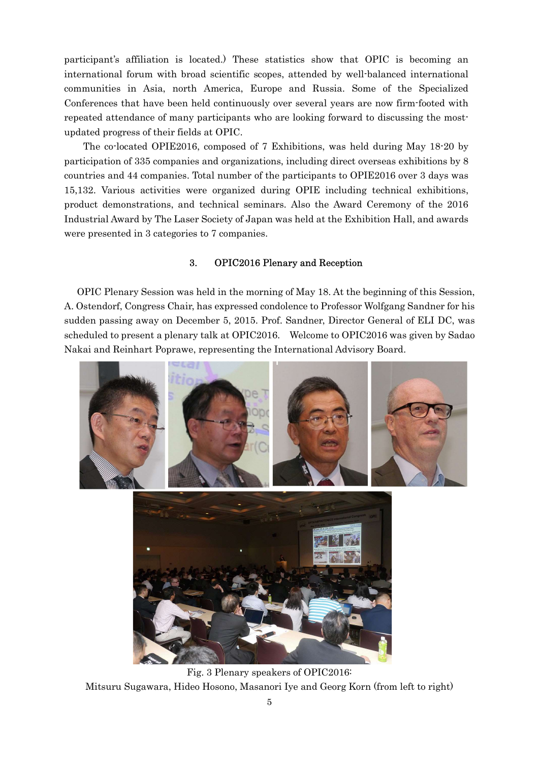participant's affiliation is located.) These statistics show that OPIC is becoming an international forum with broad scientific scopes, attended by well-balanced international communities in Asia, north America, Europe and Russia. Some of the Specialized Conferences that have been held continuously over several years are now firm-footed with repeated attendance of many participants who are looking forward to discussing the mostupdated progress of their fields at OPIC.

 The co-located OPIE2016, composed of 7 Exhibitions, was held during May 18-20 by participation of 335 companies and organizations, including direct overseas exhibitions by 8 countries and 44 companies. Total number of the participants to OPIE2016 over 3 days was 15,132. Various activities were organized during OPIE including technical exhibitions, product demonstrations, and technical seminars. Also the Award Ceremony of the 2016 Industrial Award by The Laser Society of Japan was held at the Exhibition Hall, and awards were presented in 3 categories to 7 companies.

### 3. OPIC2016 Plenary and Reception

OPIC Plenary Session was held in the morning of May 18. At the beginning of this Session, A. Ostendorf, Congress Chair, has expressed condolence to Professor Wolfgang Sandner for his sudden passing away on December 5, 2015. Prof. Sandner, Director General of ELI DC, was scheduled to present a plenary talk at OPIC2016. Welcome to OPIC2016 was given by Sadao Nakai and Reinhart Poprawe, representing the International Advisory Board.



Fig. 3 Plenary speakers of OPIC2016: Mitsuru Sugawara, Hideo Hosono, Masanori Iye and Georg Korn (from left to right)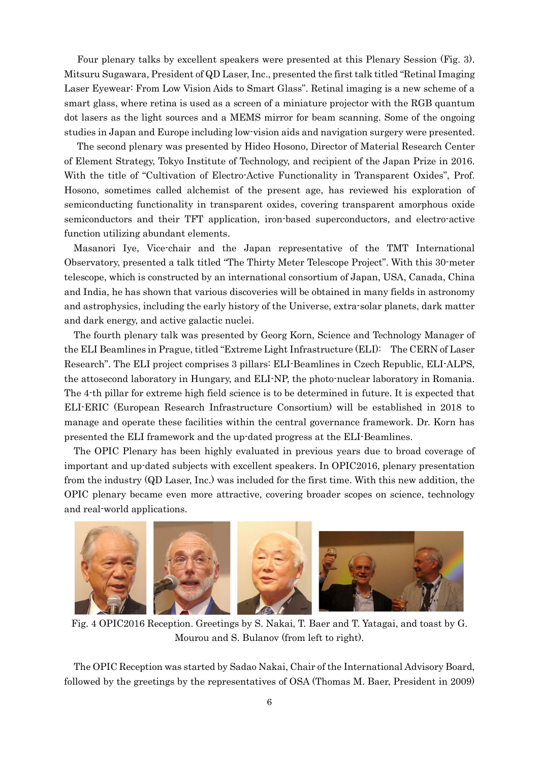Four plenary talks by excellent speakers were presented at this Plenary Session (Fig. 3). Mitsuru Sugawara, President of QD Laser, Inc., presented the first talk titled "Retinal Imaging Laser Eyewear: From Low Vision Aids to Smart Glass". Retinal imaging is a new scheme of a smart glass, where retina is used as a screen of a miniature projector with the RGB quantum dot lasers as the light sources and a MEMS mirror for beam scanning. Some of the ongoing studies in Japan and Europe including low-vision aids and navigation surgery were presented.

The second plenary was presented by Hideo Hosono, Director of Material Research Center of Element Strategy, Tokyo Institute of Technology, and recipient of the Japan Prize in 2016. With the title of "Cultivation of Electro-Active Functionality in Transparent Oxides", Prof. Hosono, sometimes called alchemist of the present age, has reviewed his exploration of semiconducting functionality in transparent oxides, covering transparent amorphous oxide semiconductors and their TFT application, iron-based superconductors, and electro-active function utilizing abundant elements.

Masanori Iye, Vice-chair and the Japan representative of the TMT International Observatory, presented a talk titled "The Thirty Meter Telescope Project". With this 30-meter telescope, which is constructed by an international consortium of Japan, USA, Canada, China and India, he has shown that various discoveries will be obtained in many fields in astronomy and astrophysics, including the early history of the Universe, extra-solar planets, dark matter and dark energy, and active galactic nuclei.

The fourth plenary talk was presented by Georg Korn, Science and Technology Manager of the ELI Beamlines in Prague, titled "Extreme Light Infrastructure (ELI): The CERN of Laser Research". The ELI project comprises 3 pillars: ELI-Beamlines in Czech Republic, ELI-ALPS, the attosecond laboratory in Hungary, and ELI-NP, the photo-nuclear laboratory in Romania. The 4-th pillar for extreme high field science is to be determined in future. It is expected that ELI-ERIC (European Research Infrastructure Consortium) will be established in 2018 to manage and operate these facilities within the central governance framework. Dr. Korn has presented the ELI framework and the up-dated progress at the ELI-Beamlines.

The OPIC Plenary has been highly evaluated in previous years due to broad coverage of important and up-dated subjects with excellent speakers. In OPIC2016, plenary presentation from the industry (QD Laser, Inc.) was included for the first time. With this new addition, the OPIC plenary became even more attractive, covering broader scopes on science, technology and real-world applications.



Fig. 4 OPIC2016 Reception. Greetings by S. Nakai, T. Baer and T. Yatagai, and toast by G. Mourou and S. Bulanov (from left to right).

The OPIC Reception was started by Sadao Nakai, Chair of the International Advisory Board, followed by the greetings by the representatives of OSA (Thomas M. Baer, President in 2009)